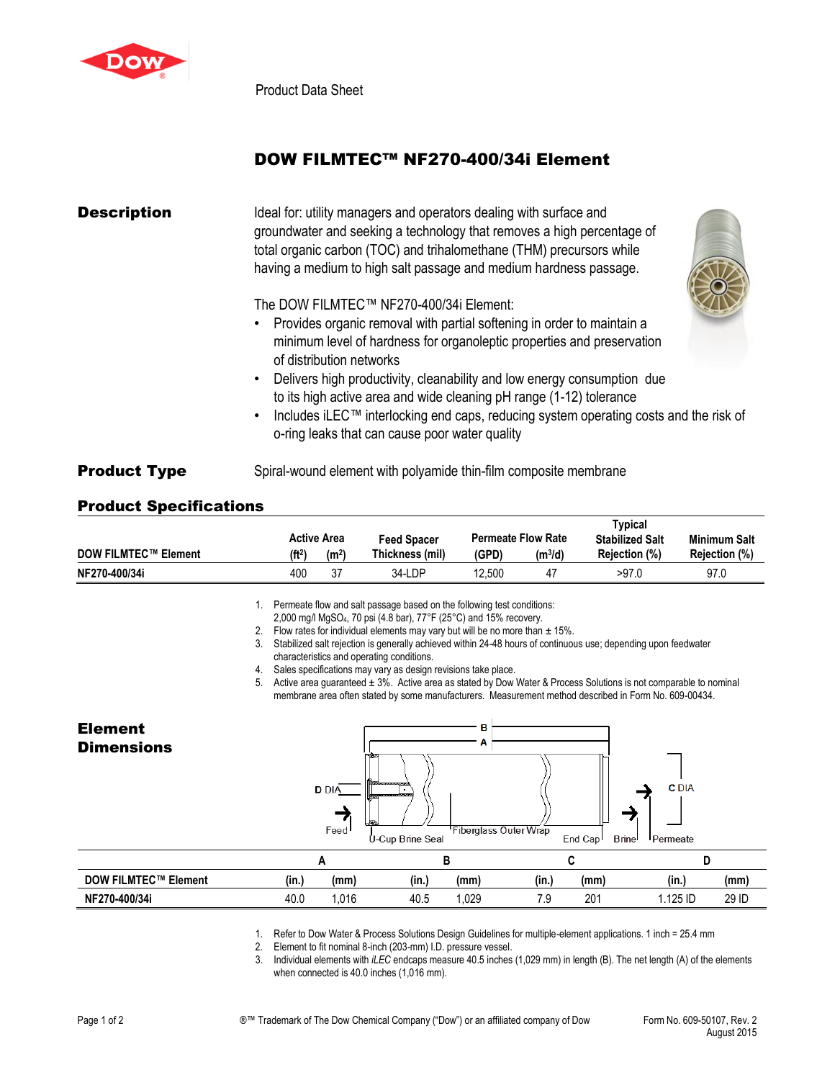

Product Data Sheet

## DOW FILMTEC™ NF270-400/34i Element

| <b>Description</b>  | Ideal for: utility managers and operators dealing with surface and<br>groundwater and seeking a technology that removes a high percentage of<br>total organic carbon (TOC) and trihalomethane (THM) precursors while<br>having a medium to high salt passage and medium hardness passage.                                                                                                                                                                                                                                                        |
|---------------------|--------------------------------------------------------------------------------------------------------------------------------------------------------------------------------------------------------------------------------------------------------------------------------------------------------------------------------------------------------------------------------------------------------------------------------------------------------------------------------------------------------------------------------------------------|
|                     | The DOW FILMTEC™ NF270-400/34i Element:<br>• Provides organic removal with partial softening in order to maintain a<br>minimum level of hardness for organoleptic properties and preservation<br>of distribution networks<br>Delivers high productivity, cleanability and low energy consumption due<br>$\bullet$<br>to its high active area and wide cleaning pH range (1-12) tolerance<br>Includes iLEC™ interlocking end caps, reducing system operating costs and the risk of<br>$\bullet$<br>o-ring leaks that can cause poor water quality |
| <b>Product Type</b> | Spiral-wound element with polyamide thin-film composite membrane                                                                                                                                                                                                                                                                                                                                                                                                                                                                                 |

## Product Specifications

|                             |                    |                    |                    |        |                           | Typical                |                      |
|-----------------------------|--------------------|--------------------|--------------------|--------|---------------------------|------------------------|----------------------|
|                             |                    | <b>Active Area</b> | <b>Feed Spacer</b> |        | <b>Permeate Flow Rate</b> | <b>Stabilized Salt</b> | <b>Minimum Salt</b>  |
| <b>DOW FILMTEC™ Element</b> | (ft <sup>2</sup> ) | (m <sup>2</sup> )  | Thickness (mil)    | (GPD)  | $(m^3/d)$                 | Rejection (%)          | <b>Rejection (%)</b> |
| NF270-400/34i               | 400                | 37                 | 34-LDP             | 12.500 | 47                        | >97.0                  | 97.0                 |

1. Permeate flow and salt passage based on the following test conditions:

- 2,000 mg/l MgSO4, 70 psi (4.8 bar), 77°F (25°C) and 15% recovery.
- 2. Flow rates for individual elements may vary but will be no more than  $\pm$  15%.
- 3. Stabilized salt rejection is generally achieved within 24-48 hours of continuous use; depending upon feedwater characteristics and operating conditions.
- 4. Sales specifications may vary as design revisions take place.

5. Active area guaranteed ± 3%. Active area as stated by Dow Water & Process Solutions is not comparable to nominal membrane area often stated by some manufacturers. Measurement method described in Form No. 609-00434.

## Element B **Dimensions C** DIA **D** DIA Feed Fiberglass Outer Wrap U-Cup Brine Seal End Cap Brine Permeate **A B C D DOW FILMTEC™ Element (in.) (mm) (in.) (mm) (in.) (mm) (in.) (mm) NF270-400/34i** 40.0 1,016 40.5 1,029 7.9 201 1.125 ID 29 ID

1. Refer to Dow Water & Process Solutions Design Guidelines for multiple-element applications. 1 inch = 25.4 mm

2. Element to fit nominal 8-inch (203-mm) I.D. pressure vessel.<br>3. Individual elements with *iLEC* endcaps measure 40.5 inches Individual elements with *iLEC* endcaps measure 40.5 inches (1,029 mm) in length (B). The net length (A) of the elements when connected is 40.0 inches (1,016 mm).